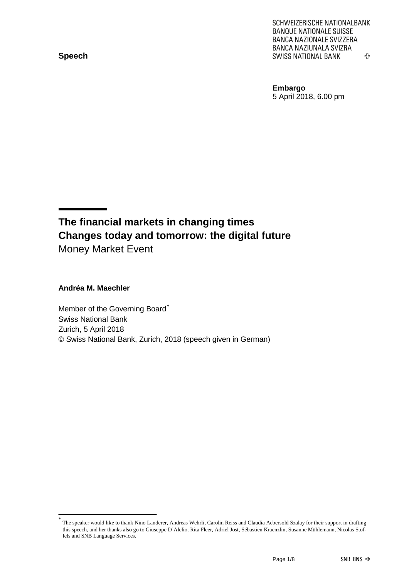**Speech**

SCHWEIZERISCHE NATIONALBANK **BANQUE NATIONALE SUISSE BANCA NAZIONALE SVIZZERA** BANCA NAZIUNALA SVIZRA **SWISS NATIONAL BANK** ሩን

**Embargo** 5 April 2018, 6.00 pm

### **The financial markets in changing times Changes today and tomorrow: the digital future** Money Market Event

**Andréa M. Maechler**

Member of the Governing Board[\\*](#page-0-0) Swiss National Bank Zurich, 5 April 2018 © Swiss National Bank, Zurich, 2018 (speech given in German)

<span id="page-0-0"></span>The speaker would like to thank Nino Landerer, Andreas Wehrli, Carolin Reiss and Claudia Aebersold Szalay for their support in drafting this speech, and her thanks also go to Giuseppe D'Alelio, Rita Fleer, Adriel Jost, Sébastien Kraenzlin, Susanne Mühlemann, Nicolas Stoffels and SNB Language Services.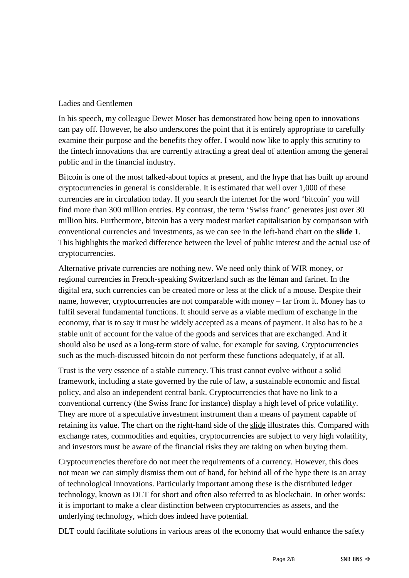#### Ladies and Gentlemen

In his speech, my colleague Dewet Moser has demonstrated how being open to innovations can pay off. However, he also underscores the point that it is entirely appropriate to carefully examine their purpose and the benefits they offer. I would now like to apply this scrutiny to the fintech innovations that are currently attracting a great deal of attention among the general public and in the financial industry.

Bitcoin is one of the most talked-about topics at present, and the hype that has built up around cryptocurrencies in general is considerable. It is estimated that well over 1,000 of these currencies are in circulation today. If you search the internet for the word 'bitcoin' you will find more than 300 million entries. By contrast, the term 'Swiss franc' generates just over 30 million hits. Furthermore, bitcoin has a very modest market capitalisation by comparison with conventional currencies and investments, as we can see in the left-hand chart on the **slide 1**. This highlights the marked difference between the level of public interest and the actual use of cryptocurrencies.

Alternative private currencies are nothing new. We need only think of WIR money, or regional currencies in French-speaking Switzerland such as the léman and farinet. In the digital era, such currencies can be created more or less at the click of a mouse. Despite their name, however, cryptocurrencies are not comparable with money – far from it. Money has to fulfil several fundamental functions. It should serve as a viable medium of exchange in the economy, that is to say it must be widely accepted as a means of payment. It also has to be a stable unit of account for the value of the goods and services that are exchanged. And it should also be used as a long-term store of value, for example for saving. Cryptocurrencies such as the much-discussed bitcoin do not perform these functions adequately, if at all.

Trust is the very essence of a stable currency. This trust cannot evolve without a solid framework, including a state governed by the rule of law, a sustainable economic and fiscal policy, and also an independent central bank. Cryptocurrencies that have no link to a conventional currency (the Swiss franc for instance) display a high level of price volatility. They are more of a speculative investment instrument than a means of payment capable of retaining its value. The chart on the right-hand side of the slide illustrates this. Compared with exchange rates, commodities and equities, cryptocurrencies are subject to very high volatility, and investors must be aware of the financial risks they are taking on when buying them.

Cryptocurrencies therefore do not meet the requirements of a currency. However, this does not mean we can simply dismiss them out of hand, for behind all of the hype there is an array of technological innovations. Particularly important among these is the distributed ledger technology, known as DLT for short and often also referred to as blockchain. In other words: it is important to make a clear distinction between cryptocurrencies as assets, and the underlying technology, which does indeed have potential.

DLT could facilitate solutions in various areas of the economy that would enhance the safety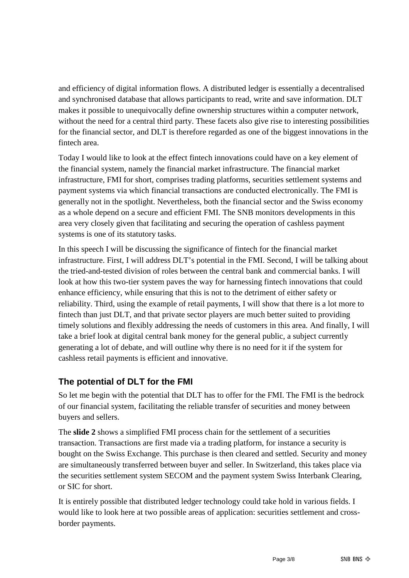and efficiency of digital information flows. A distributed ledger is essentially a decentralised and synchronised database that allows participants to read, write and save information. DLT makes it possible to unequivocally define ownership structures within a computer network, without the need for a central third party. These facets also give rise to interesting possibilities for the financial sector, and DLT is therefore regarded as one of the biggest innovations in the fintech area.

Today I would like to look at the effect fintech innovations could have on a key element of the financial system, namely the financial market infrastructure. The financial market infrastructure, FMI for short, comprises trading platforms, securities settlement systems and payment systems via which financial transactions are conducted electronically. The FMI is generally not in the spotlight. Nevertheless, both the financial sector and the Swiss economy as a whole depend on a secure and efficient FMI. The SNB monitors developments in this area very closely given that facilitating and securing the operation of cashless payment systems is one of its statutory tasks.

In this speech I will be discussing the significance of fintech for the financial market infrastructure. First, I will address DLT's potential in the FMI. Second, I will be talking about the tried-and-tested division of roles between the central bank and commercial banks. I will look at how this two-tier system paves the way for harnessing fintech innovations that could enhance efficiency, while ensuring that this is not to the detriment of either safety or reliability. Third, using the example of retail payments, I will show that there is a lot more to fintech than just DLT, and that private sector players are much better suited to providing timely solutions and flexibly addressing the needs of customers in this area. And finally, I will take a brief look at digital central bank money for the general public, a subject currently generating a lot of debate, and will outline why there is no need for it if the system for cashless retail payments is efficient and innovative.

### **The potential of DLT for the FMI**

So let me begin with the potential that DLT has to offer for the FMI. The FMI is the bedrock of our financial system, facilitating the reliable transfer of securities and money between buyers and sellers.

The **slide 2** shows a simplified FMI process chain for the settlement of a securities transaction. Transactions are first made via a trading platform, for instance a security is bought on the Swiss Exchange. This purchase is then cleared and settled. Security and money are simultaneously transferred between buyer and seller. In Switzerland, this takes place via the securities settlement system SECOM and the payment system Swiss Interbank Clearing, or SIC for short.

It is entirely possible that distributed ledger technology could take hold in various fields. I would like to look here at two possible areas of application: securities settlement and crossborder payments.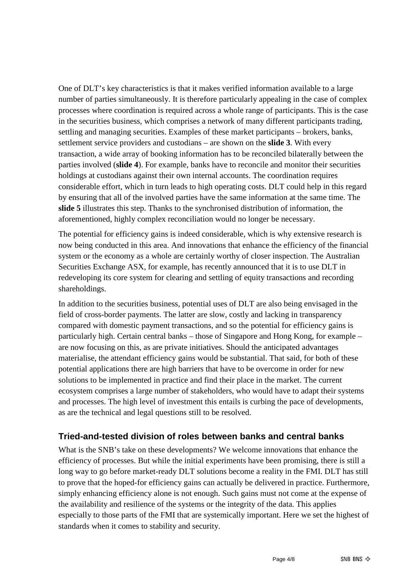One of DLT's key characteristics is that it makes verified information available to a large number of parties simultaneously. It is therefore particularly appealing in the case of complex processes where coordination is required across a whole range of participants. This is the case in the securities business, which comprises a network of many different participants trading, settling and managing securities. Examples of these market participants – brokers, banks, settlement service providers and custodians – are shown on the **slide 3**. With every transaction, a wide array of booking information has to be reconciled bilaterally between the parties involved (**slide 4**). For example, banks have to reconcile and monitor their securities holdings at custodians against their own internal accounts. The coordination requires considerable effort, which in turn leads to high operating costs. DLT could help in this regard by ensuring that all of the involved parties have the same information at the same time. The **slide 5** illustrates this step. Thanks to the synchronised distribution of information, the aforementioned, highly complex reconciliation would no longer be necessary.

The potential for efficiency gains is indeed considerable, which is why extensive research is now being conducted in this area. And innovations that enhance the efficiency of the financial system or the economy as a whole are certainly worthy of closer inspection. The Australian Securities Exchange ASX, for example, has recently announced that it is to use DLT in redeveloping its core system for clearing and settling of equity transactions and recording shareholdings.

In addition to the securities business, potential uses of DLT are also being envisaged in the field of cross-border payments. The latter are slow, costly and lacking in transparency compared with domestic payment transactions, and so the potential for efficiency gains is particularly high. Certain central banks – those of Singapore and Hong Kong, for example – are now focusing on this, as are private initiatives. Should the anticipated advantages materialise, the attendant efficiency gains would be substantial. That said, for both of these potential applications there are high barriers that have to be overcome in order for new solutions to be implemented in practice and find their place in the market. The current ecosystem comprises a large number of stakeholders, who would have to adapt their systems and processes. The high level of investment this entails is curbing the pace of developments, as are the technical and legal questions still to be resolved.

#### **Tried-and-tested division of roles between banks and central banks**

What is the SNB's take on these developments? We welcome innovations that enhance the efficiency of processes. But while the initial experiments have been promising, there is still a long way to go before market-ready DLT solutions become a reality in the FMI. DLT has still to prove that the hoped-for efficiency gains can actually be delivered in practice. Furthermore, simply enhancing efficiency alone is not enough. Such gains must not come at the expense of the availability and resilience of the systems or the integrity of the data. This applies especially to those parts of the FMI that are systemically important. Here we set the highest of standards when it comes to stability and security.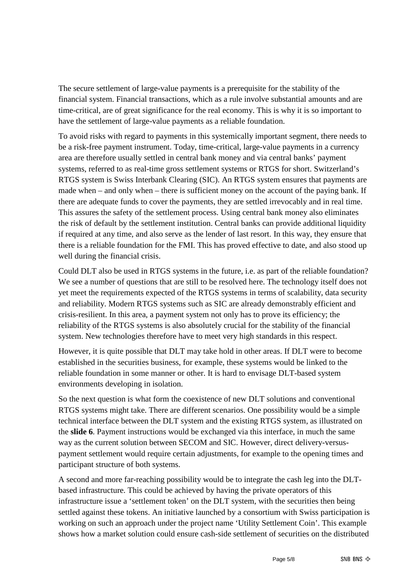The secure settlement of large-value payments is a prerequisite for the stability of the financial system. Financial transactions, which as a rule involve substantial amounts and are time-critical, are of great significance for the real economy. This is why it is so important to have the settlement of large-value payments as a reliable foundation.

To avoid risks with regard to payments in this systemically important segment, there needs to be a risk-free payment instrument. Today, time-critical, large-value payments in a currency area are therefore usually settled in central bank money and via central banks' payment systems, referred to as real-time gross settlement systems or RTGS for short. Switzerland's RTGS system is Swiss Interbank Clearing (SIC). An RTGS system ensures that payments are made when – and only when – there is sufficient money on the account of the paying bank. If there are adequate funds to cover the payments, they are settled irrevocably and in real time. This assures the safety of the settlement process. Using central bank money also eliminates the risk of default by the settlement institution. Central banks can provide additional liquidity if required at any time, and also serve as the lender of last resort. In this way, they ensure that there is a reliable foundation for the FMI. This has proved effective to date, and also stood up well during the financial crisis.

Could DLT also be used in RTGS systems in the future, i.e. as part of the reliable foundation? We see a number of questions that are still to be resolved here. The technology itself does not yet meet the requirements expected of the RTGS systems in terms of scalability, data security and reliability. Modern RTGS systems such as SIC are already demonstrably efficient and crisis-resilient. In this area, a payment system not only has to prove its efficiency; the reliability of the RTGS systems is also absolutely crucial for the stability of the financial system. New technologies therefore have to meet very high standards in this respect.

However, it is quite possible that DLT may take hold in other areas. If DLT were to become established in the securities business, for example, these systems would be linked to the reliable foundation in some manner or other. It is hard to envisage DLT-based system environments developing in isolation.

So the next question is what form the coexistence of new DLT solutions and conventional RTGS systems might take. There are different scenarios. One possibility would be a simple technical interface between the DLT system and the existing RTGS system, as illustrated on the **slide 6**. Payment instructions would be exchanged via this interface, in much the same way as the current solution between SECOM and SIC. However, direct delivery-versuspayment settlement would require certain adjustments, for example to the opening times and participant structure of both systems.

A second and more far-reaching possibility would be to integrate the cash leg into the DLTbased infrastructure. This could be achieved by having the private operators of this infrastructure issue a 'settlement token' on the DLT system, with the securities then being settled against these tokens. An initiative launched by a consortium with Swiss participation is working on such an approach under the project name 'Utility Settlement Coin'. This example shows how a market solution could ensure cash-side settlement of securities on the distributed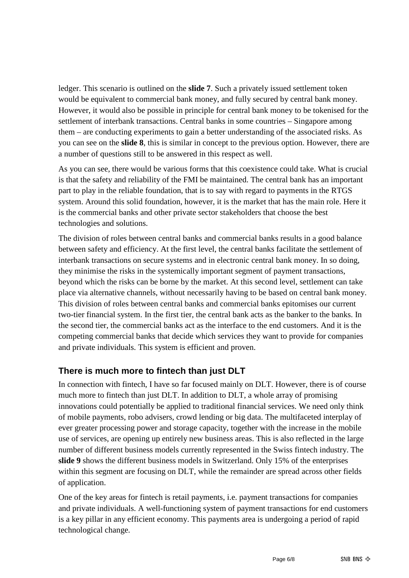ledger. This scenario is outlined on the **slide 7**. Such a privately issued settlement token would be equivalent to commercial bank money, and fully secured by central bank money. However, it would also be possible in principle for central bank money to be tokenised for the settlement of interbank transactions. Central banks in some countries – Singapore among them – are conducting experiments to gain a better understanding of the associated risks. As you can see on the **slide 8**, this is similar in concept to the previous option. However, there are a number of questions still to be answered in this respect as well.

As you can see, there would be various forms that this coexistence could take. What is crucial is that the safety and reliability of the FMI be maintained. The central bank has an important part to play in the reliable foundation, that is to say with regard to payments in the RTGS system. Around this solid foundation, however, it is the market that has the main role. Here it is the commercial banks and other private sector stakeholders that choose the best technologies and solutions.

The division of roles between central banks and commercial banks results in a good balance between safety and efficiency. At the first level, the central banks facilitate the settlement of interbank transactions on secure systems and in electronic central bank money. In so doing, they minimise the risks in the systemically important segment of payment transactions, beyond which the risks can be borne by the market. At this second level, settlement can take place via alternative channels, without necessarily having to be based on central bank money. This division of roles between central banks and commercial banks epitomises our current two-tier financial system. In the first tier, the central bank acts as the banker to the banks. In the second tier, the commercial banks act as the interface to the end customers. And it is the competing commercial banks that decide which services they want to provide for companies and private individuals. This system is efficient and proven.

#### **There is much more to fintech than just DLT**

In connection with fintech, I have so far focused mainly on DLT. However, there is of course much more to fintech than just DLT. In addition to DLT, a whole array of promising innovations could potentially be applied to traditional financial services. We need only think of mobile payments, robo advisers, crowd lending or big data. The multifaceted interplay of ever greater processing power and storage capacity, together with the increase in the mobile use of services, are opening up entirely new business areas. This is also reflected in the large number of different business models currently represented in the Swiss fintech industry. The **slide 9** shows the different business models in Switzerland. Only 15% of the enterprises within this segment are focusing on DLT, while the remainder are spread across other fields of application.

One of the key areas for fintech is retail payments, i.e. payment transactions for companies and private individuals. A well-functioning system of payment transactions for end customers is a key pillar in any efficient economy. This payments area is undergoing a period of rapid technological change.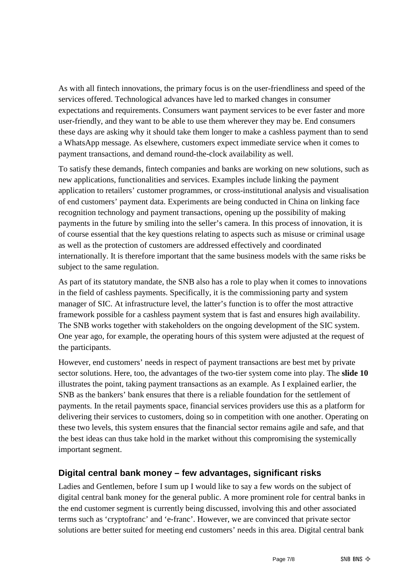As with all fintech innovations, the primary focus is on the user-friendliness and speed of the services offered. Technological advances have led to marked changes in consumer expectations and requirements. Consumers want payment services to be ever faster and more user-friendly, and they want to be able to use them wherever they may be. End consumers these days are asking why it should take them longer to make a cashless payment than to send a WhatsApp message. As elsewhere, customers expect immediate service when it comes to payment transactions, and demand round-the-clock availability as well.

To satisfy these demands, fintech companies and banks are working on new solutions, such as new applications, functionalities and services. Examples include linking the payment application to retailers' customer programmes, or cross-institutional analysis and visualisation of end customers' payment data. Experiments are being conducted in China on linking face recognition technology and payment transactions, opening up the possibility of making payments in the future by smiling into the seller's camera. In this process of innovation, it is of course essential that the key questions relating to aspects such as misuse or criminal usage as well as the protection of customers are addressed effectively and coordinated internationally. It is therefore important that the same business models with the same risks be subject to the same regulation.

As part of its statutory mandate, the SNB also has a role to play when it comes to innovations in the field of cashless payments. Specifically, it is the commissioning party and system manager of SIC. At infrastructure level, the latter's function is to offer the most attractive framework possible for a cashless payment system that is fast and ensures high availability. The SNB works together with stakeholders on the ongoing development of the SIC system. One year ago, for example, the operating hours of this system were adjusted at the request of the participants.

However, end customers' needs in respect of payment transactions are best met by private sector solutions. Here, too, the advantages of the two-tier system come into play. The **slide 10** illustrates the point, taking payment transactions as an example. As I explained earlier, the SNB as the bankers' bank ensures that there is a reliable foundation for the settlement of payments. In the retail payments space, financial services providers use this as a platform for delivering their services to customers, doing so in competition with one another. Operating on these two levels, this system ensures that the financial sector remains agile and safe, and that the best ideas can thus take hold in the market without this compromising the systemically important segment.

#### **Digital central bank money – few advantages, significant risks**

Ladies and Gentlemen, before I sum up I would like to say a few words on the subject of digital central bank money for the general public. A more prominent role for central banks in the end customer segment is currently being discussed, involving this and other associated terms such as 'cryptofranc' and 'e-franc'. However, we are convinced that private sector solutions are better suited for meeting end customers' needs in this area. Digital central bank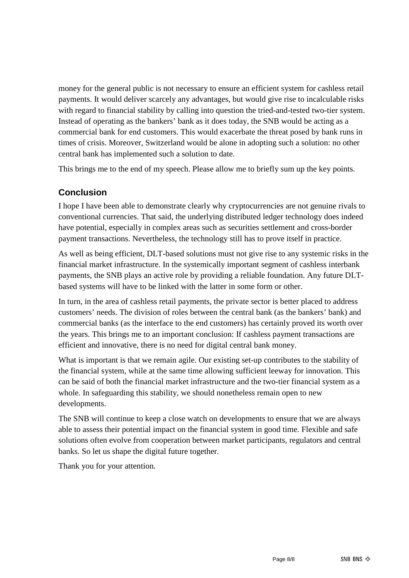money for the general public is not necessary to ensure an efficient system for cashless retail payments. It would deliver scarcely any advantages, but would give rise to incalculable risks with regard to financial stability by calling into question the tried-and-tested two-tier system. Instead of operating as the bankers' bank as it does today, the SNB would be acting as a commercial bank for end customers. This would exacerbate the threat posed by bank runs in times of crisis. Moreover, Switzerland would be alone in adopting such a solution: no other central bank has implemented such a solution to date.

This brings me to the end of my speech. Please allow me to briefly sum up the key points.

### **Conclusion**

I hope I have been able to demonstrate clearly why cryptocurrencies are not genuine rivals to conventional currencies. That said, the underlying distributed ledger technology does indeed have potential, especially in complex areas such as securities settlement and cross-border payment transactions. Nevertheless, the technology still has to prove itself in practice.

As well as being efficient, DLT-based solutions must not give rise to any systemic risks in the financial market infrastructure. In the systemically important segment of cashless interbank payments, the SNB plays an active role by providing a reliable foundation. Any future DLTbased systems will have to be linked with the latter in some form or other.

In turn, in the area of cashless retail payments, the private sector is better placed to address customers' needs. The division of roles between the central bank (as the bankers' bank) and commercial banks (as the interface to the end customers) has certainly proved its worth over the years. This brings me to an important conclusion: If cashless payment transactions are efficient and innovative, there is no need for digital central bank money.

What is important is that we remain agile. Our existing set-up contributes to the stability of the financial system, while at the same time allowing sufficient leeway for innovation. This can be said of both the financial market infrastructure and the two-tier financial system as a whole. In safeguarding this stability, we should nonetheless remain open to new developments.

The SNB will continue to keep a close watch on developments to ensure that we are always able to assess their potential impact on the financial system in good time. Flexible and safe solutions often evolve from cooperation between market participants, regulators and central banks. So let us shape the digital future together.

Thank you for your attention.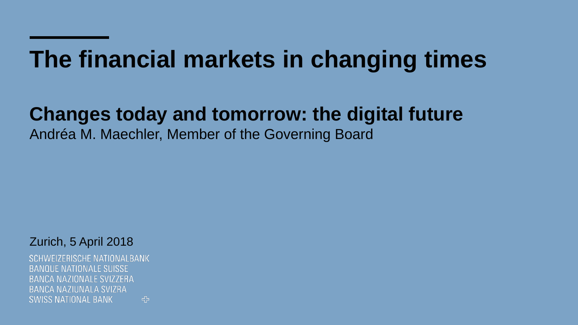# **The financial markets in changing times**

### **Changes today and tomorrow: the digital future**

Andréa M. Maechler, Member of the Governing Board

Zurich, 5 April 2018

**SCHWEIZERISCHE NATIONALBANK BANQUE NATIONALE SUISSE** BANCA NAZIONALE SVIZZERA **BANCA NAZIUNALA SVIZRA SWISS NATIONAL BANK** 5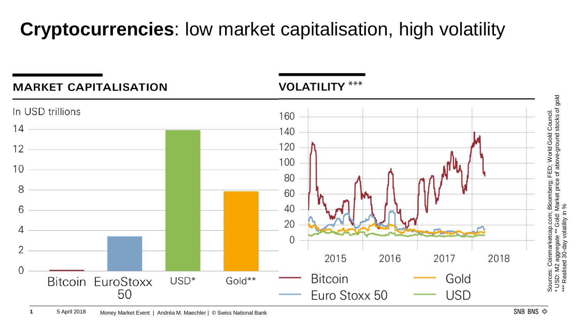# **Cryptocurrencies**: low market capitalisation, high volatility

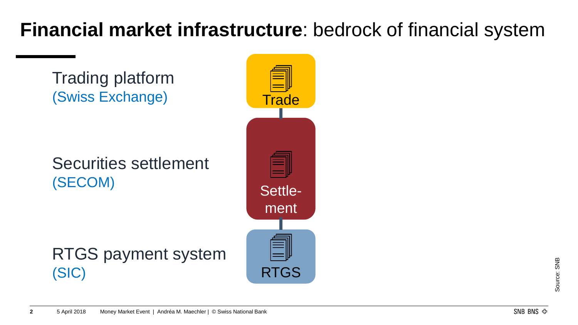# **Financial market infrastructure**: bedrock of financial system

Trading platform

Trading platform (Swiss Exchange) Securities settlement (SECOM) RTGS payment system (SIC) Securities settlement Settlement **Trade** RTGS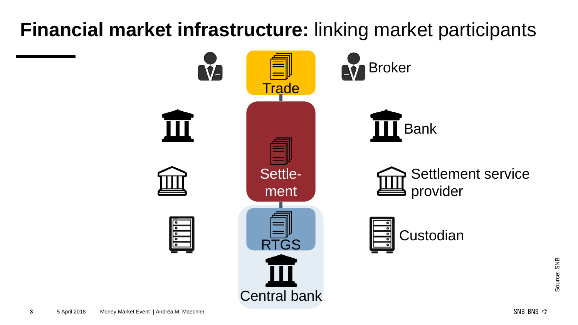# **Financial market infrastructure:** linking market participants

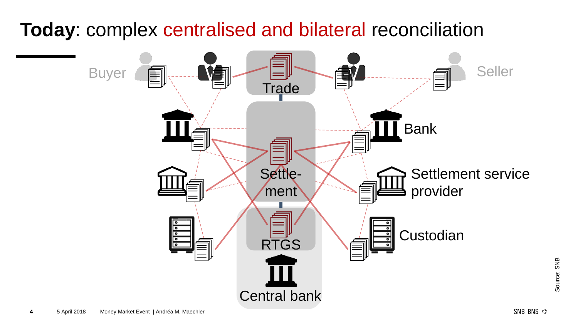### **Today**: complex centralised and bilateral reconciliation



Source: SNB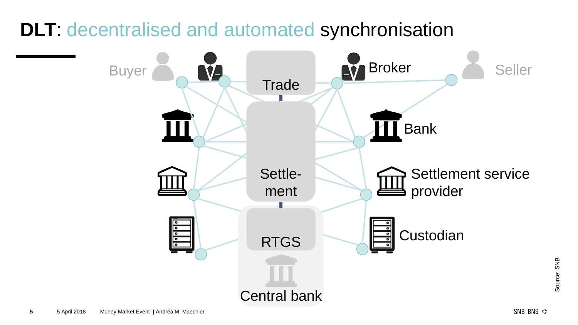### **DLT**: decentralised and automated synchronisation



Source: SNB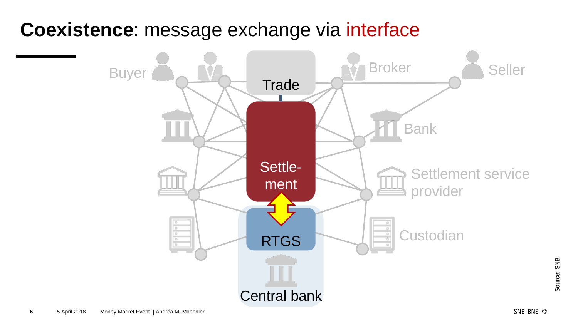### **Coexistence**: message exchange via interface



Source: SNB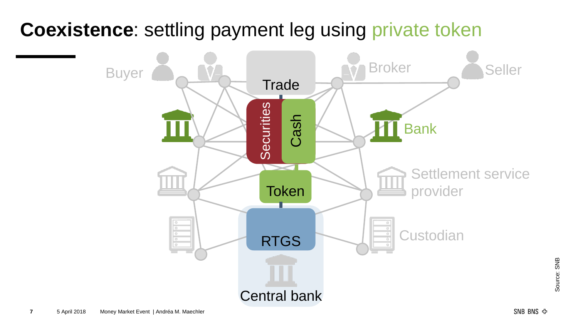## **Coexistence**: settling payment leg using private token



Source: SNB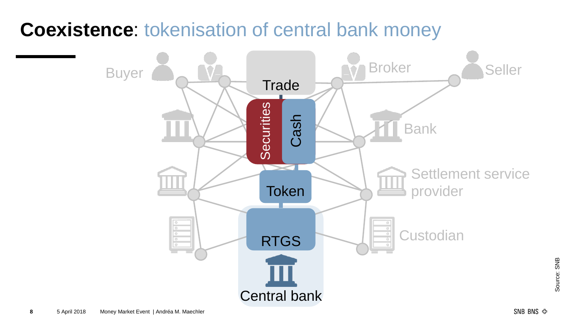### **Coexistence**: tokenisation of central bank money



Source: SNB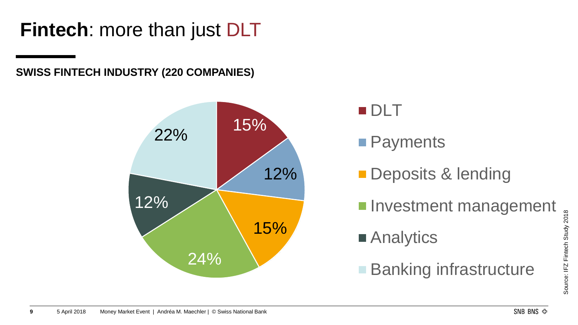**Fintech**: more than just DLT

**SWISS FINTECH INDUSTRY (220 COMPANIES)**





**Payments** 

- **Deposits & lending**
- **Investment management**
- Analytics
- **Banking infrastructure**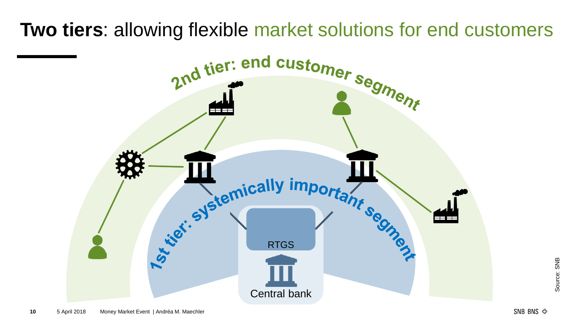**Two tiers**: allowing flexible market solutions for end customers